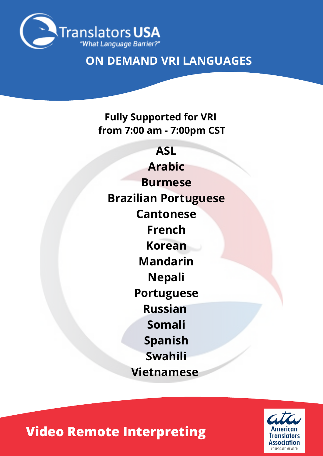

## **ON DEMAND VRI LANGUAGES**

#### **Fully Supported for VRI from 7:00 am - 7:00pm CST**

**ASL Arabic Burmese Brazilian Portuguese Cantonese French Korean Mandarin Nepali Portuguese Russian Somali Spanish Swahili Vietnamese**

**CORPORATE MEMBER** 

# **Video Remote Interpreting**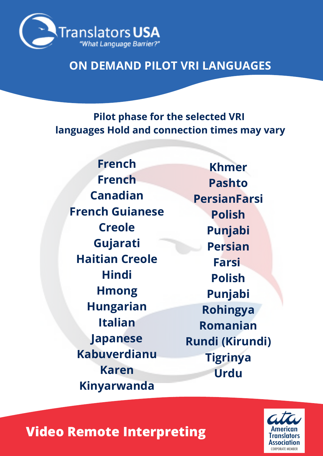

### **ON DEMAND PILOT VRI LANGUAGES**

**Pilot phase for the selected VRI languages Hold and connection times may vary**

**French French Canadian French Guianese Creole Gujarati Haitian Creole Hindi Hmong Hungarian Italian Japanese Kabuverdianu Karen Kinyarwanda**

**Khmer Pashto PersianFarsi Polish Punjabi Persian Farsi Polish Punjabi Rohingya Romanian Rundi (Kirundi) Tigrinya Urdu**

## **Video Remote Interpreting**

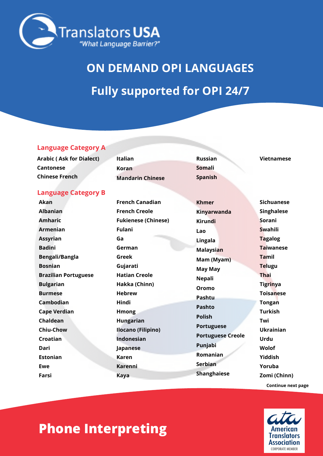

# **ON DEMAND OPI LANGUAGES Fully supported for OPI 24/7**

#### **Language Category A**

| Arabic (Ask for Dialect)   | Italian                 | <b>Russian</b> | Vietnamese        |
|----------------------------|-------------------------|----------------|-------------------|
| <b>Cantonese</b>           | Koran                   | Somali         |                   |
| <b>Chinese French</b>      | <b>Mandarin Chinese</b> | <b>Spanish</b> |                   |
| <b>Language Category B</b> |                         |                |                   |
| Akan                       | <b>French Canadian</b>  | <b>Khmer</b>   | <b>Sichuanese</b> |

ー

| <b>Albanian</b>             | <b>French Creole</b>       | Kinyarwanda              | <b>Singhalese</b> |
|-----------------------------|----------------------------|--------------------------|-------------------|
| <b>Amharic</b>              | <b>Fukienese (Chinese)</b> | <b>Kirundi</b>           | Sorani            |
| <b>Armenian</b>             | <b>Fulani</b>              | Lao                      | <b>Swahili</b>    |
| <b>Assyrian</b>             | Ga                         | Lingala                  | <b>Tagalog</b>    |
| <b>Badini</b>               | German                     | <b>Malaysian</b>         | <b>Taiwanese</b>  |
| Bengali/Bangla              | Greek                      | Mam (Myam)               | <b>Tamil</b>      |
| <b>Bosnian</b>              | Gujarati                   | <b>May May</b>           | <b>Telugu</b>     |
| <b>Brazilian Portuguese</b> | <b>Hatian Creole</b>       | <b>Nepali</b>            | <b>Thai</b>       |
| <b>Bulgarian</b>            | Hakka (Chinn)              | Oromo                    | <b>Tigrinya</b>   |
| <b>Burmese</b>              | <b>Hebrew</b>              | Pashtu                   | <b>Toisanese</b>  |
| Cambodian                   | Hindi                      | Pashto                   | <b>Tongan</b>     |
| <b>Cape Verdian</b>         | <b>Hmong</b>               | <b>Polish</b>            | <b>Turkish</b>    |
| Chaldean                    | <b>Hungarian</b>           | <b>Portuguese</b>        | Twi               |
| <b>Chiu-Chow</b>            | Ilocano (Filipino)         |                          | <b>Ukrainian</b>  |
| Croatian                    | Indonesian                 | <b>Portuguese Creole</b> | Urdu              |
| Dari                        | Japanese                   | Punjabi                  | Wolof             |
| <b>Estonian</b>             | Karen                      | Romanian                 | Yiddish           |
| Ewe                         | Karenni                    | Serbian                  | Yoruba            |
| Farsi                       | <b>Kaya</b>                | <b>Shanghaiese</b>       | Zomi (Chinn)      |
|                             |                            |                          |                   |



**Continue next page**

## **Phone Interpreting**